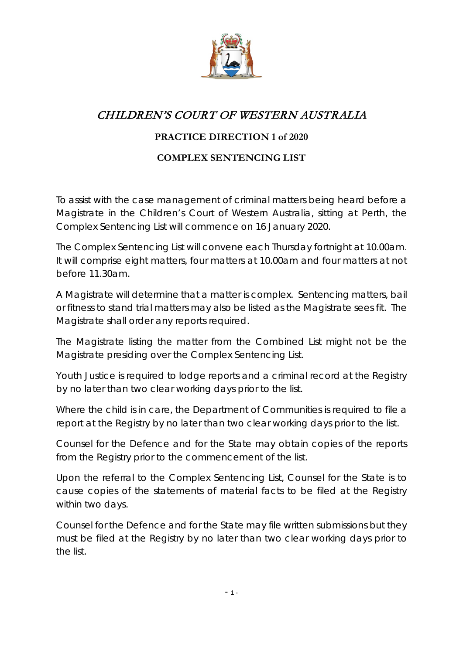

## CHILDREN'S COURT OF WESTERN AUSTRALIA

## **PRACTICE DIRECTION 1 of 2020**

## **COMPLEX SENTENCING LIST**

To assist with the case management of criminal matters being heard before a Magistrate in the Children's Court of Western Australia, sitting at Perth, the Complex Sentencing List will commence on 16 January 2020.

The Complex Sentencing List will convene each Thursday fortnight at 10.00am. It will comprise eight matters, four matters at 10.00am and four matters at not before 11.30am.

A Magistrate will determine that a matter is complex. Sentencing matters, bail or fitness to stand trial matters may also be listed as the Magistrate sees fit. The Magistrate shall order any reports required.

The Magistrate listing the matter from the Combined List might not be the Magistrate presiding over the Complex Sentencing List.

Youth Justice is required to lodge reports and a criminal record at the Registry by no later than two clear working days prior to the list.

Where the child is in care, the Department of Communities is required to file a report at the Registry by no later than two clear working days prior to the list.

Counsel for the Defence and for the State may obtain copies of the reports from the Registry prior to the commencement of the list.

Upon the referral to the Complex Sentencing List, Counsel for the State is to cause copies of the statements of material facts to be filed at the Registry within two days.

Counsel for the Defence and for the State may file written submissions but they must be filed at the Registry by no later than two clear working days prior to the list.